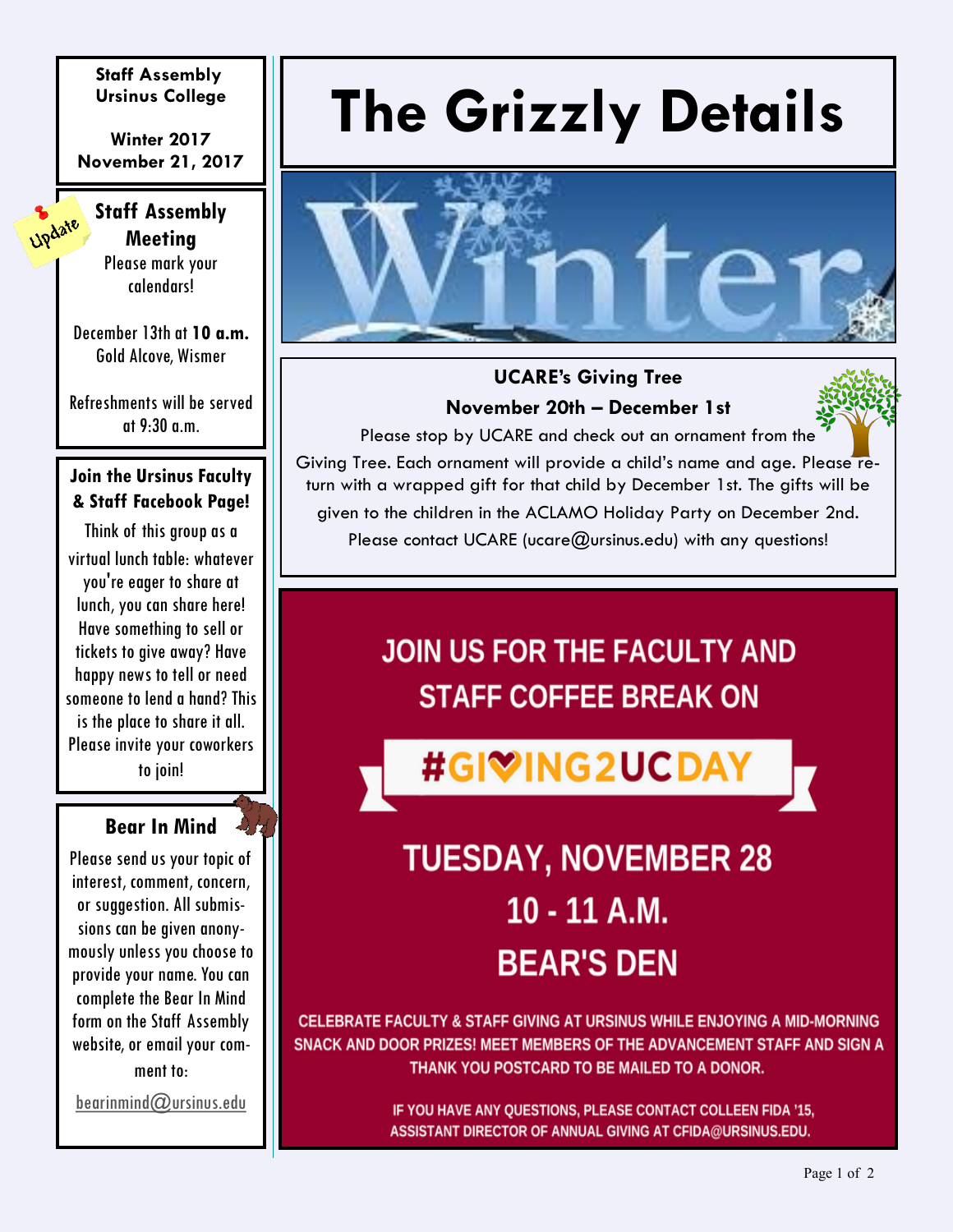**Staff Assembly Ursinus College**

**Winter 2017 November 21, 2017**

#### **Staff Assembly Meeting**

Update

Please mark your calendars!

December 13th at **10 a.m.**  Gold Alcove, Wismer

Refreshments will be served at 9:30 a.m.

#### **Join the Ursinus Faculty & Staff Facebook Page!**

Think of this group as a virtual lunch table: whatever you're eager to share at lunch, you can share here! Have something to sell or tickets to give away? Have happy news to tell or need someone to lend a hand? This is the place to share it all. Please invite your coworkers to join!

#### **Bear In Mind**

Please send us your topic of interest, comment, concern, or suggestion. All submissions can be given anonymously unless you choose to provide your name. You can complete the Bear In Mind form on the Staff Assembly website, or email your comment to:

[bearinmind@ursinus.edu](mailto:bearinmind@ursinus.edu?subject=Bear%20in%20Mind)

# **The Grizzly Details**



#### **UCARE's Giving Tree November 20th – December 1st**

Please stop by UCARE and check out an ornament from the Giving Tree. Each ornament will provide a child's name and age. Please return with a wrapped gift for that child by December 1st. The gifts will be given to the children in the ACLAMO Holiday Party on December 2nd. Please contact UCARE (ucare $@$ ursinus.edu) with any questions!

### **JOIN US FOR THE FACULTY AND STAFF COFFEE BREAK ON**

#GIVING2UCDAY

## **TUESDAY, NOVEMBER 28**  $10 - 11$  A.M. **BEAR'S DEN**

CELEBRATE FACULTY & STAFF GIVING AT URSINUS WHILE ENJOYING A MID-MORNING SNACK AND DOOR PRIZES! MEET MEMBERS OF THE ADVANCEMENT STAFF AND SIGN A THANK YOU POSTCARD TO BE MAILED TO A DONOR.

> IF YOU HAVE ANY QUESTIONS, PLEASE CONTACT COLLEEN FIDA '15, ASSISTANT DIRECTOR OF ANNUAL GIVING AT CFIDA@URSINUS.EDU.